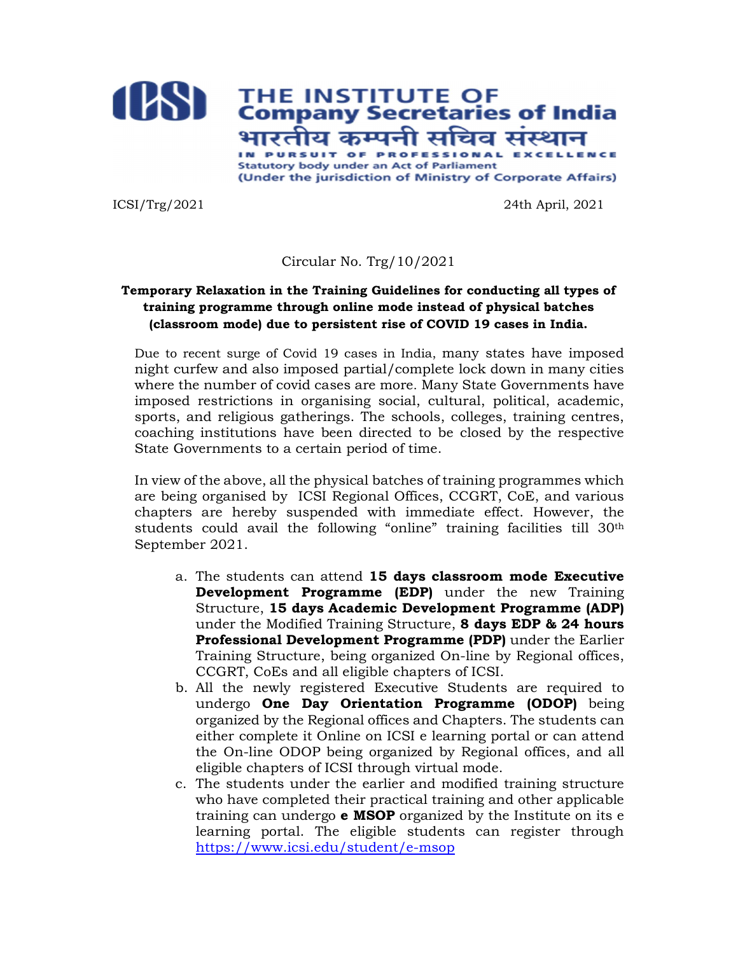

ICSI/Trg/2021 24th April, 2021

## Circular No. Trg/10/2021

## Temporary Relaxation in the Training Guidelines for conducting all types of training programme through online mode instead of physical batches (classroom mode) due to persistent rise of COVID 19 cases in India.

Due to recent surge of Covid 19 cases in India, many states have imposed night curfew and also imposed partial/complete lock down in many cities where the number of covid cases are more. Many State Governments have imposed restrictions in organising social, cultural, political, academic, sports, and religious gatherings. The schools, colleges, training centres, coaching institutions have been directed to be closed by the respective State Governments to a certain period of time.

In view of the above, all the physical batches of training programmes which are being organised by ICSI Regional Offices, CCGRT, CoE, and various chapters are hereby suspended with immediate effect. However, the students could avail the following "online" training facilities till  $30<sup>th</sup>$ September 2021.

- a. The students can attend 15 days classroom mode Executive Development Programme (EDP) under the new Training Structure, 15 days Academic Development Programme (ADP) under the Modified Training Structure, 8 days EDP & 24 hours Professional Development Programme (PDP) under the Earlier Training Structure, being organized On-line by Regional offices, CCGRT, CoEs and all eligible chapters of ICSI.
- b. All the newly registered Executive Students are required to undergo One Day Orientation Programme (ODOP) being organized by the Regional offices and Chapters. The students can either complete it Online on ICSI e learning portal or can attend the On-line ODOP being organized by Regional offices, and all eligible chapters of ICSI through virtual mode.
- c. The students under the earlier and modified training structure who have completed their practical training and other applicable training can undergo **e MSOP** organized by the Institute on its e learning portal. The eligible students can register through https://www.icsi.edu/student/e-msop